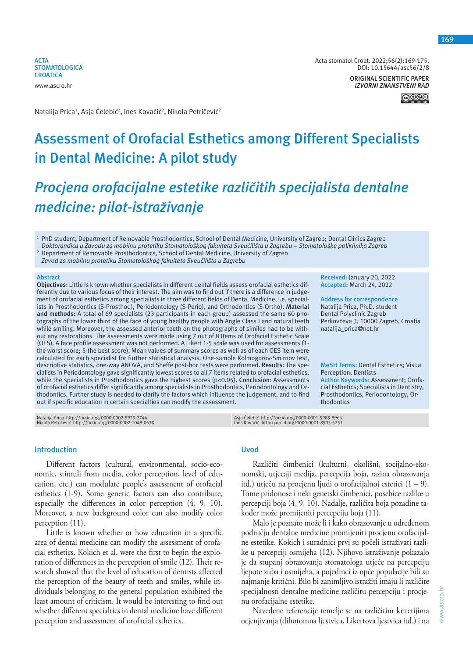**ACTA STOMATOLOGICA CROATICA** www.ascro.hr

Acta stomatol Croat. 2022;56(2):169-175. DOI: 10.15644/asc56/2/8

**ORIGINAL SCIENTIFIC PAPER** *IZVORNI ZNANSTVENI RAD*

**@** 

Natalija Prica<sup>1</sup>, Asja Čelebić<sup>2</sup>, Ines Kovačić<sup>2</sup>, Nikola Petričević<sup>2</sup>

# **Assessment of Orofacial Esthetics among Different Specialists in Dental Medicine: A pilot study**

# *Procjena orofacijalne estetike različitih specijalista dentalne medicine: pilot-istraživanje*

<sup>1</sup> PhD student, Department of Removable Prosthodontics, School of Dental Medicine, University of Zagreb; Dental Clinics Zagreb *Doktorandica u Zavodu za mobilnu protetiku Stomatološkog fakulteta Sveučilišta u Zagrebu – Stomatološka poliklinika Zagreb* <sup>2</sup> Department of Removable Prosthodontics, School of Dental Medicine, University of Zagreb

*Zavod za mobilnu protetiku Stomatološkog fakulteta Sveučilišta u Zagrebu*

#### **Abstract**

**Objectives**: Little is known whether specialists in different dental fields assess orofacial esthetics differently due to various focus of their interest. The aim was to find out if there is a difference in judgement of orofacial esthetics among specialists in three different fields of Dental Medicine, i.e. specialists in Prosthodontics (S-Prosthod), Periodontology (S-Perio), and Orthodontics (S-Ortho). **Material and methods:** A total of 69 specialists (23 participants in each group) assessed the same 60 photographs of the lower third of the face of young healthy people with Angle Class I and natural teeth while smiling. Moreover, the assessed anterior teeth on the photographs of similes had to be without any restorations. The assessments were made using 7 out of 8 Items of Orofacial Esthetic Scale (OES). A face profile assessment was not performed. A Likert 1-5 scale was used for assessments (1 the worst score; 5-the best score). Mean values of summary scores as well as of each OES item were calculated for each specialist for further statistical analysis. One-sample Kolmogorov-Smirnov test, descriptive statistics, one-way ANOVA, and Sheffe post-hoc tests were performed. **Results**: The specialists in Periodontology gave significantly lowest scores to all 7 items related to orofacial esthetics, while the specialists in Prosthodontics gave the highest scores (p<0.05). **Conclusion**: Assessments of orofacial esthetics differ significantly among specialists in Prosthodontics, Periodontology and Orthodontics. Further study is needed to clarify the factors which influence the judgement, and to find out if specific education in certain specialties can modify the assessment.

**Received:** January 20, 2022 **Accepted:** March 24, 2022

**Address for correspondence** Natalija Prica, Ph.D. student Dental Polyclinic Zagreb Perkovčeva 3, 10000 Zagreb, Croatia natalija\_prica@net.hr

**MeSH Terms:** Dental Esthetics; Visual Perception; Dentists **Author Keywords:** Assessment; Orofacial Esthetics; Specialists in Dentistry, Prosthodontics, Periodontology, Orthodontics

Natalija Prica http://orcid.org/0000-0002-5929-2744 Nikola Petričević http://orcid.org/0000-0002-1048-063X Asja Čelebić http://orcid.org/0000-0001-5985-8966 Ines Kovačić http://orcid.org/0000-0001-8505-5251

#### **Introduction**

Different factors (cultural, environmental, socio-economic, stimuli from media, color perception, level of education, etc.) can modulate people's assessment of orofacial esthetics (1-9). Some genetic factors can also contribute, especially the differences in color perception (4, 9, 10). Moreover, a new background color can also modify color perception (11).

Little is known whether or how education in a specific area of dental medicine can modify the assessment of orofacial esthetics. Kokich et al. were the first to begin the exploration of differences in the perception of smile  $(12)$ . Their research showed that the level of education of dentists affected the perception of the beauty of teeth and smiles, while individuals belonging to the general population exhibited the least amount of criticism. It would be interesting to find out whether different specialties in dental medicine have different perception and assessment of orofacial esthetics.

#### **Uvod**

Različiti čimbenici (kulturni, okolišni, socijalno-ekonomski, utjecaji medija, percepcija boja, razina obrazovanja itd.) utječu na procjenu ljudi o orofacijalnoj estetici (1 – 9). Tome pridonose i neki genetski čimbenici, posebice razlike u percepciji boja (4, 9, 10). Nadalje, različita boja pozadine također može promijeniti percepciju boja (11).

Malo je poznato može li i kako obrazovanje u određenom području dentalne medicine promijeniti procjenu orofacijalne estetike. Kokich i suradnici prvi su počeli istraživati razlike u percepciji osmijeha (12). Njihovo istraživanje pokazalo je da stupanj obrazovanja stomatologa utječe na percepciju ljepote zuba i osmijeha, a pojedinci iz opće populacije bili su najmanje kritični. Bilo bi zanimljivo istražiti imaju li različite specijalnosti dentalne medicine različitu percepciju i procjenu orofacijalne estetike.

Navedene referencije temelje se na različitim kriterijima ocjenjivanja (dihotomna ljestvica, Likertova ljestvica itd.) i na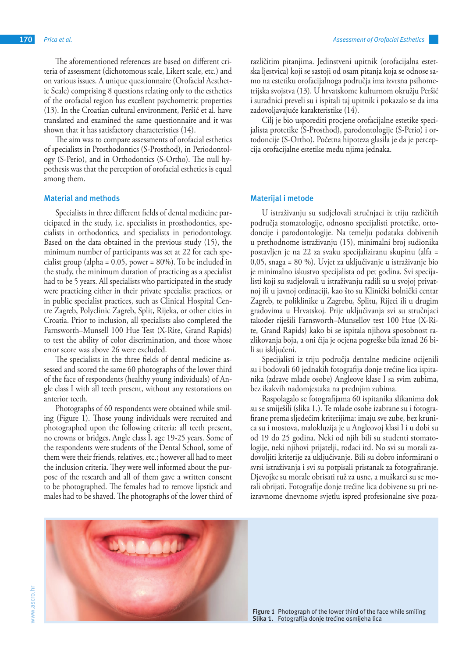The aforementioned references are based on different criteria of assessment (dichotomous scale, Likert scale, etc.) and on various issues. A unique questionnaire (Orofacial Aesthetic Scale) comprising 8 questions relating only to the esthetics of the orofacial region has excellent psychometric properties (13). In the Croatian cultural environment, Peršić et al. have translated and examined the same questionnaire and it was shown that it has satisfactory characteristics (14).

The aim was to compare assessments of orofacial esthetics of specialists in Prosthodontics (S-Prosthod), in Periodontology (S-Perio), and in Orthodontics (S-Ortho). The null hypothesis was that the perception of orofacial esthetics is equal among them.

## **Material and methods**

Specialists in three different fields of dental medicine participated in the study, i.e. specialists in prosthodontics, specialists in orthodontics, and specialists in periodontology. Based on the data obtained in the previous study (15), the minimum number of participants was set at 22 for each specialist group (alpha = 0.05, power = 80%). To be included in the study, the minimum duration of practicing as a specialist had to be 5 years. All specialists who participated in the study were practicing either in their private specialist practices, or in public specialist practices, such as Clinical Hospital Centre Zagreb, Polyclinic Zagreb, Split, Rijeka, or other cities in Croatia. Prior to inclusion, all specialists also completed the Farnsworth–Munsell 100 Hue Test (X-Rite, Grand Rapids) to test the ability of color discrimination, and those whose error score was above 26 were excluded.

The specialists in the three fields of dental medicine assessed and scored the same 60 photographs of the lower third of the face of respondents (healthy young individuals) of Angle class I with all teeth present, without any restorations on anterior teeth.

Photographs of 60 respondents were obtained while smiling (Figure 1). Those young individuals were recruited and photographed upon the following criteria: all teeth present, no crowns or bridges, Angle class I, age 19-25 years. Some of the respondents were students of the Dental School, some of them were their friends, relatives, etc.; however all had to meet the inclusion criteria. They were well informed about the purpose of the research and all of them gave a written consent to be photographed. The females had to remove lipstick and males had to be shaved. The photographs of the lower third of

različitim pitanjima. Jedinstveni upitnik (orofacijalna estetska ljestvica) koji se sastoji od osam pitanja koja se odnose samo na estetiku orofacijalnoga područja ima izvrsna psihometrijska svojstva (13). U hrvatskome kulturnom okružju Peršić i suradnici preveli su i ispitali taj upitnik i pokazalo se da ima zadovoljavajuće karakteristike (14).

Cilj je bio usporediti procjene orofacijalne estetike specijalista protetike (S-Prosthod), parodontologije (S-Perio) i ortodoncije (S-Ortho). Početna hipoteza glasila je da je percepcija orofacijalne estetike među njima jednaka.

## **Materijal i metode**

U istraživanju su sudjelovali stručnjaci iz triju različitih područja stomatologije, odnosno specijalisti protetike, ortodoncije i parodontologije. Na temelju podataka dobivenih u prethodnome istraživanju (15), minimalni broj sudionika postavljen je na 22 za svaku specijaliziranu skupinu (alfa = 0,05, snaga = 80 %). Uvjet za uključivanje u istraživanje bio je minimalno iskustvo specijalista od pet godina. Svi specijalisti koji su sudjelovali u istraživanju radili su u svojoj privatnoj ili u javnoj ordinaciji, kao što su Klinički bolnički centar Zagreb, te poliklinike u Zagrebu, Splitu, Rijeci ili u drugim gradovima u Hrvatskoj. Prije uključivanja svi su stručnjaci također riješili Farnsworth–Munsellov test 100 Hue (X-Rite, Grand Rapids) kako bi se ispitala njihova sposobnost razlikovanja boja, a oni čija je ocjena pogreške bila iznad 26 bili su isključeni.

Specijalisti iz triju područja dentalne medicine ocijenili su i bodovali 60 jednakih fotografija donje trećine lica ispitanika (zdrave mlade osobe) Angleove klase I sa svim zubima, bez ikakvih nadomjestaka na prednjim zubima.

Raspolagalo se fotografijama 60 ispitanika slikanima dok su se smiješili (slika 1.). Te mlade osobe izabrane su i fotografirane prema sljedećim kriterijima: imaju sve zube, bez krunica su i mostova, malokluzija je u Angleovoj klasi I i u dobi su od 19 do 25 godina. Neki od njih bili su studenti stomatologije, neki njihovi prijatelji, rođaci itd. No svi su morali zadovoljiti kriterije za uključivanje. Bili su dobro informirani o svrsi istraživanja i svi su potpisali pristanak za fotografiranje. Djevojke su morale obrisati ruž za usne, a muškarci su se morali obrijati. Fotografije donje trećine lica dobivene su pri neizravnome dnevnome svjetlu ispred profesionalne sive poza-





Figure 1 Photograph of the lower third of the face while smiling Slika 1. Fotografija donje trećine osmijeha lica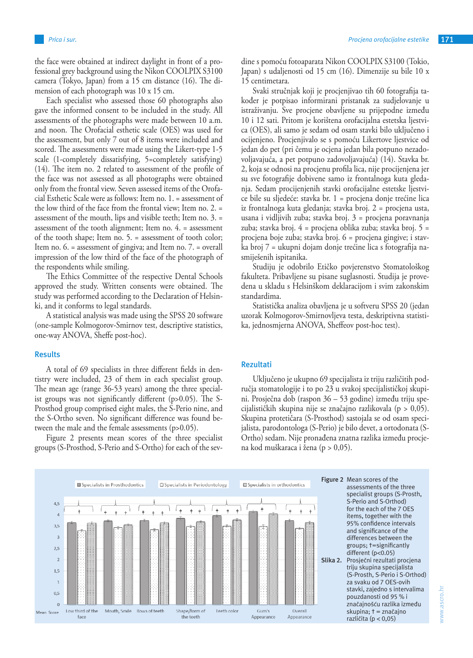the face were obtained at indirect daylight in front of a professional grey background using the Nikon COOLPIX S3100 camera (Tokyo, Japan) from a 15 cm distance (16). The dimension of each photograph was 10 x 15 cm.

Each specialist who assessed those 60 photographs also gave the informed consent to be included in the study. All assessments of the photographs were made between 10 a.m. and noon. The Orofacial esthetic scale (OES) was used for the assessment, but only 7 out of 8 items were included and scored. The assessments were made using the Likert-type 1-5 scale (1-completely dissatisfying, 5=completely satisfying) (14). The item no. 2 related to assessment of the profile of the face was not assessed as all photographs were obtained only from the frontal view. Seven assessed items of the Orofacial Esthetic Scale were as follows: Item no. 1. = assessment of the low third of the face from the frontal view; Item no. 2. = assessment of the mouth, lips and visible teeth; Item no. 3. = assessment of the tooth alignment; Item no. 4. = assessment of the tooth shape; Item no. 5. = assessment of tooth color; Item no. 6. = assessment of gingiva; and Item no. 7. = overall impression of the low third of the face of the photograph of the respondents while smiling.

The Ethics Committee of the respective Dental Schools approved the study. Written consents were obtained. The study was performed according to the Declaration of Helsinki, and it conforms to legal standards.

A statistical analysis was made using the SPSS 20 software (one-sample Kolmogorov-Smirnov test, descriptive statistics, one-way ANOVA, Sheffe post-hoc).

#### **Results**

A total of 69 specialists in three different fields in dentistry were included, 23 of them in each specialist group. The mean age (range 36-53 years) among the three specialist groups was not significantly different (p>0.05). The S-Prosthod group comprised eight males, the S-Perio nine, and the S-Ortho seven. No significant difference was found between the male and the female assessments (p>0.05).

Figure 2 presents mean scores of the three specialist groups (S-Prosthod, S-Perio and S-Ortho) for each of the sevdine s pomoću fotoaparata Nikon COOLPIX S3100 (Tokio, Japan) s udaljenosti od 15 cm (16). Dimenzije su bile 10 x 15 centimetara.

Svaki stručnjak koji je procjenjivao tih 60 fotografija također je potpisao informirani pristanak za sudjelovanje u istraživanju. Sve procjene obavljene su prijepodne između 10 i 12 sati. Pritom je korištena orofacijalna estetska ljestvica (OES), ali samo je sedam od osam stavki bilo uključeno i ocijenjeno. Procjenjivalo se s pomoću Likertove ljestvice od jedan do pet (pri čemu je ocjena jedan bila potpuno nezadovoljavajuća, a pet potpuno zadovoljavajuća) (14). Stavka br. 2, koja se odnosi na procjenu profila lica, nije procijenjena jer su sve fotografije dobivene samo iz frontalnoga kuta gledanja. Sedam procijenjenih stavki orofacijalne estetske ljestvice bile su sljedeće: stavka br. 1 = procjena donje trećine lica iz frontalnoga kuta gledanja; stavka broj. 2 = procjena usta, usana i vidljivih zuba; stavka broj. 3 = procjena poravnanja zuba; stavka broj. 4 = procjena oblika zuba; stavka broj. 5 = procjena boje zuba; stavka broj. 6 = procjena gingive; i stavka broj 7 = ukupni dojam donje trećine lica s fotografija nasmiješenih ispitanika.

Studiju je odobrilo Etičko povjerenstvo Stomatološkog fakulteta. Pribavljene su pisane suglasnosti. Studija je provedena u skladu s Helsinškom deklaracijom i svim zakonskim standardima.

Statistička analiza obavljena je u softveru SPSS 20 (jedan uzorak Kolmogorov-Smirnovljeva testa, deskriptivna statistika, jednosmjerna ANOVA, Sheffeov post-hoc test).

#### **Rezultati**

Uključeno je ukupno 69 specijalista iz triju različitih područja stomatologije i to po 23 u svakoj specijalističkoj skupini. Prosječna dob (raspon 36 – 53 godine) između triju specijalističkih skupina nije se značajno razlikovala (p > 0,05). Skupina protetičara (S-Prosthod) sastojala se od osam specijalista, parodontologa (S-Perio) je bilo devet, a ortodonata (S-Ortho) sedam. Nije pronađena znatna razlika između procjena kod muškaraca i žena (p > 0,05).

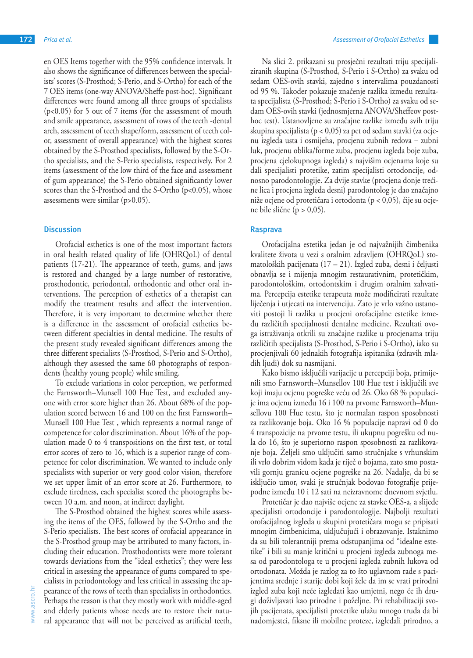en OES Items together with the 95% confidence intervals. It also shows the significance of differences between the specialists' scores (S-Prosthod; S-Perio, and S-Ortho) for each of the 7 OES items (one-way ANOVA/Sheffe post-hoc). Significant differences were found among all three groups of specialists (p<0.05) for 5 out of 7 items (for the assessment of mouth and smile appearance, assessment of rows of the teeth -dental arch, assessment of teeth shape/form, assessment of teeth color, assessment of overall appearance) with the highest scores obtained by the S-Prosthod specialists, followed by the S-Ortho specialists, and the S-Perio specialists, respectively. For 2 items (assessment of the low third of the face and assessment of gum appearance) the S-Perio obtained significantly lower scores than the S-Prosthod and the S-Ortho  $(p<0.05)$ , whose assessments were similar (p>0.05).

#### **Discussion**

Orofacial esthetics is one of the most important factors in oral health related quality of life (OHRQoL) of dental patients (17-21). The appearance of teeth, gums, and jaws is restored and changed by a large number of restorative, prosthodontic, periodontal, orthodontic and other oral interventions. The perception of esthetics of a therapist can modify the treatment results and affect the intervention. Therefore, it is very important to determine whether there is a difference in the assessment of orofacial esthetics between different specialties in dental medicine. The results of the present study revealed significant differences among the three different specialists (S-Prosthod, S-Perio and S-Ortho), although they assessed the same 60 photographs of respondents (healthy young people) while smiling.

To exclude variations in color perception, we performed the Farnsworth–Munsell 100 Hue Test, and excluded anyone with error score higher than 26. About 68% of the population scored between 16 and 100 on the first Farnsworth– Munsell 100 Hue Test , which represents a normal range of competence for color discrimination. About 16% of the population made 0 to 4 transpositions on the first test, or total error scores of zero to 16, which is a superior range of competence for color discrimination. We wanted to include only specialists with superior or very good color vision, therefore we set upper limit of an error score at 26. Furthermore, to exclude tiredness, each specialist scored the photographs between 10 a.m. and noon, at indirect daylight.

The S-Prosthod obtained the highest scores while assessing the items of the OES, followed by the S-Ortho and the S-Perio specialists. The best scores of orofacial appearance in the S-Prosthod group may be attributed to many factors, including their education. Prosthodontists were more tolerant towards deviations from the "ideal esthetics"; they were less critical in assessing the appearance of gums compared to specialists in periodontology and less critical in assessing the appearance of the rows of teeth than specialists in orthodontics. Perhaps the reason is that they mostly work with middle-aged and elderly patients whose needs are to restore their natural appearance that will not be perceived as artificial teeth,

Na slici 2. prikazani su prosječni rezultati triju specijaliziranih skupina (S-Prosthod, S-Perio i S-Ortho) za svaku od sedam OES-ovih stavki, zajedno s intervalima pouzdanosti od 95 %. Također pokazuje značenje razlika između rezultata specijalista (S-Prosthod; S-Perio i S-Ortho) za svaku od sedam OES-ovih stavki (jednosmjerna ANOVA/Sheffeov posthoc test). Ustanovljene su značajne razlike između svih triju skupina specijalista (p < 0,05) za pet od sedam stavki (za ocjenu izgleda usta i osmijeha, procjenu zubnih redova ‒ zubni luk, procjenu oblika/forme zuba, procjenu izgleda boje zuba, procjena cjelokupnoga izgleda) s najvišim ocjenama koje su dali specijalisti protetike, zatim specijalisti ortodoncije, odnosno parodontologije. Za dvije stavke (procjena donje trećine lica i procjena izgleda desni) parodontolog je dao značajno niže ocjene od protetičara i ortodonta (p < 0,05), čije su ocjene bile slične ( $p > 0.05$ ).

#### **Rasprava**

Orofacijalna estetika jedan je od najvažnijih čimbenika kvalitete života u vezi s oralnim zdravljem (OHRQoL) stomatoloških pacijenata (17 – 21). Izgled zuba, desni i čeljusti obnavlja se i mijenja mnogim restaurativnim, protetičkim, parodontološkim, ortodontskim i drugim oralnim zahvatima. Percepcija estetike terapeuta može modificirati rezultate liječenja i utjecati na intervenciju. Zato je vrlo važno ustanoviti postoji li razlika u procjeni orofacijalne estetike između različitih specijalnosti dentalne medicine. Rezultati ovoga istraživanja otkrili su značajne razlike u procjenama triju različitih specijalista (S-Prosthod, S-Perio i S-Ortho), iako su procjenjivali 60 jednakih fotografija ispitanika (zdravih mladih ljudi) dok su nasmijani.

Kako bismo isključili varijacije u percepciji boja, primijenili smo Farnsworth–Munsellov 100 Hue test i isključili sve koji imaju ocjenu pogreške veću od 26. Oko 68 % populacije ima ocjenu između 16 i 100 na prvome Farnsworth–Munsellovu 100 Hue testu, što je normalan raspon sposobnosti za razlikovanje boja. Oko 16 % populacije napravi od 0 do 4 transpozicije na prvome testu, ili ukupnu pogrešku od nula do 16, što je superiorno raspon sposobnosti za razlikovanje boja. Željeli smo uključiti samo stručnjake s vrhunskim ili vrlo dobrim vidom kada je riječ o bojama, zato smo postavili gornju granicu ocjene pogreške na 26. Nadalje, da bi se isključio umor, svaki je stručnjak bodovao fotografije prijepodne između 10 i 12 sati na neizravnome dnevnom svjetlu.

Protetičar je dao najviše ocjene za stavke OES-a, a slijede specijalisti ortodoncije i parodontologije. Najbolji rezultati orofacijalnog izgleda u skupini protetičara mogu se pripisati mnogim čimbenicima, uključujući i obrazovanje. Istaknimo da su bili tolerantniji prema odstupanjima od "idealne estetike" i bili su manje kritični u procjeni izgleda zubnoga mesa od parodontologa te u procjeni izgleda zubnih lukova od ortodonata. Možda je razlog za to što uglavnom rade s pacijentima srednje i starije dobi koji žele da im se vrati prirodni izgled zuba koji neće izgledati kao umjetni, nego će ih drugi doživljavati kao prirodne i poželjne. Pri rehabilitaciji svojih pacijenata, specijalisti protetike ulažu mnogo truda da bi nadomjestci, fiksne ili mobilne proteze, izgledali prirodno, a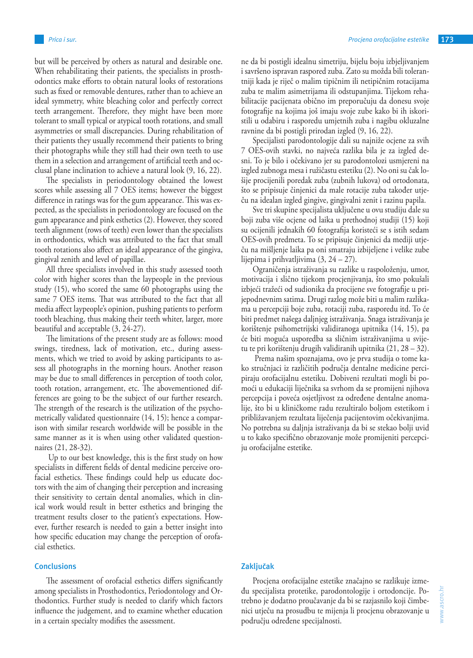but will be perceived by others as natural and desirable one. When rehabilitating their patients, the specialists in prosthodontics make efforts to obtain natural looks of restorations such as fixed or removable dentures, rather than to achieve an ideal symmetry, white bleaching color and perfectly correct teeth arrangement. Therefore, they might have been more tolerant to small typical or atypical tooth rotations, and small asymmetries or small discrepancies. During rehabilitation of their patients they usually recommend their patients to bring their photographs while they still had their own teeth to use them in a selection and arrangement of artificial teeth and occlusal plane inclination to achieve a natural look (9, 16, 22).

The specialists in periodontology obtained the lowest scores while assessing all 7 OES items; however the biggest difference in ratings was for the gum appearance. This was expected, as the specialists in periodontology are focused on the gum appearance and pink esthetics (2). However, they scored teeth alignment (rows of teeth) even lower than the specialists in orthodontics, which was attributed to the fact that small tooth rotations also affect an ideal appearance of the gingiva, gingival zenith and level of papillae.

All three specialists involved in this study assessed tooth color with higher scores than the laypeople in the previous study (15), who scored the same 60 photographs using the same 7 OES items. That was attributed to the fact that all media affect laypeople's opinion, pushing patients to perform tooth bleaching, thus making their teeth whiter, larger, more beautiful and acceptable (3, 24-27).

The limitations of the present study are as follows: mood swings, tiredness, lack of motivation, etc., during assessments, which we tried to avoid by asking participants to assess all photographs in the morning hours. Another reason may be due to small differences in perception of tooth color, tooth rotation, arrangement, etc. The abovementioned differences are going to be the subject of our further research. The strength of the research is the utilization of the psychometrically validated questionnaire (14, 15); hence a comparison with similar research worldwide will be possible in the same manner as it is when using other validated questionnaires (21, 28-32).

 Up to our best knowledge, this is the first study on how specialists in different fields of dental medicine perceive orofacial esthetics. These findings could help us educate doctors with the aim of changing their perception and increasing their sensitivity to certain dental anomalies, which in clinical work would result in better esthetics and bringing the treatment results closer to the patient's expectations. However, further research is needed to gain a better insight into how specific education may change the perception of orofacial esthetics.

#### **Conclusions**

The assessment of orofacial esthetics differs significantly among specialists in Prosthodontics, Periodontology and Orthodontics. Further study is needed to clarify which factors influence the judgement, and to examine whether education in a certain specialty modifies the assessment.

ne da bi postigli idealnu simetriju, bijelu boju izbjeljivanjem i savršeno ispravan raspored zuba. Zato su možda bili tolerantniji kada je riječ o malim tipičnim ili netipičnim rotacijama zuba te malim asimetrijama ili odstupanjima. Tijekom rehabilitacije pacijenata obično im preporučuju da donesu svoje fotografije na kojima još imaju svoje zube kako bi ih iskoristili u odabiru i rasporedu umjetnih zuba i nagibu okluzalne ravnine da bi postigli prirodan izgled (9, 16, 22).

Specijalisti parodontologije dali su najniže ocjene za svih 7 OES-ovih stavki, no najveća razlika bila je za izgled desni. To je bilo i očekivano jer su parodontolozi usmjereni na izgled zubnoga mesa i ružičastu estetiku (2). No oni su čak lošije procijenili poredak zuba (zubnih lukova) od ortodonata, što se pripisuje činjenici da male rotacije zuba također utječu na idealan izgled gingive, gingivalni zenit i razinu papila.

Sve tri skupine specijalista uključene u ovu studiju dale su boji zuba više ocjene od laika u prethodnoj studiji (15) koji su ocijenili jednakih 60 fotografija koristeći se s istih sedam OES-ovih predmeta. To se pripisuje činjenici da mediji utječu na mišljenje laika pa oni smatraju izbijeljene i velike zube lijepima i prihvatljivima (3, 24 – 27).

Ograničenja istraživanja su razlike u raspoloženju, umor, motivacija i slično tijekom procjenjivanja, što smo pokušali izbjeći tražeći od sudionika da procijene sve fotografije u prijepodnevnim satima. Drugi razlog može biti u malim razlikama u percepciji boje zuba, rotaciji zuba, rasporedu itd. To će biti predmet našega daljnjeg istraživanja. Snaga istraživanja je korištenje psihometrijski validiranoga upitnika (14, 15), pa će biti moguća usporedba sa sličnim istraživanjima u svijetu te pri korištenju drugih validiranih upitnika (21, 28 – 32).

 Prema našim spoznajama, ovo je prva studija o tome kako stručnjaci iz različitih područja dentalne medicine percipiraju orofacijalnu estetiku. Dobiveni rezultati mogli bi pomoći u edukaciji liječnika sa svrhom da se promijeni njihova percepcija i poveća osjetljivost za određene dentalne anomalije, što bi u kliničkome radu rezultiralo boljom estetikom i približavanjem rezultata liječenja pacijentovim očekivanjima. No potrebna su daljnja istraživanja da bi se stekao bolji uvid u to kako specifično obrazovanje može promijeniti percepciju orofacijalne estetike.

## **Zaključak**

Procjena orofacijalne estetike značajno se razlikuje između specijalista protetike, parodontologije i ortodoncije. Potrebno je dodatno proučavanje da bi se razjasnilo koji čimbenici utječu na prosudbu te mijenja li procjenu obrazovanje u području određene specijalnosti.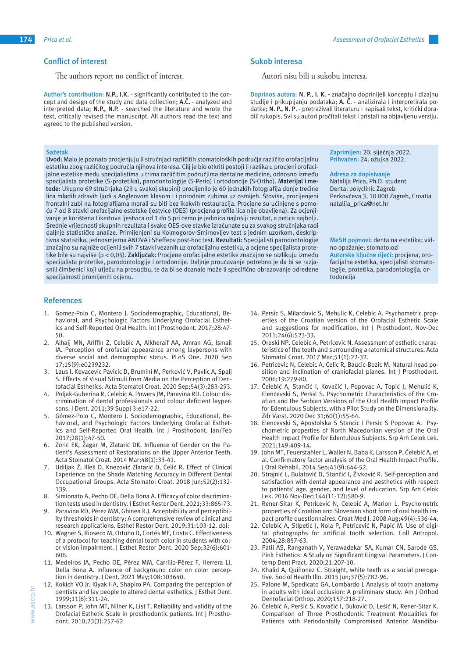#### **Conflict of interest**

The authors report no conflict of interest.

**Author's contribution: N.P., I.K.** - significantly contributed to the concept and design of the study and data collection; **A.Č.** - analyzed and interpreted data; **N.P., N.P.** - searched the literature and wrote the text, critically revised the manuscript. All authors read the text and agreed to the published version.

#### **Sažetak**

**Uvod:** Malo je poznato procjenjuju li stručnjaci različitih stomatoloških područja različito orofacijalnu estetiku zbog različitog područja njihova interesa. Cilj je bio otkriti postoji li razlika u procjeni orofacijalne estetike među specijalistima u trima različitim područjima dentalne medicine, odnosno između specijalista protetike (S-protetika), parodontologije (S-Perio) i ortodoncije (S-Ortho). **Materijal i metode:** Ukupno 69 stručnjaka (23 u svakoj skupini) procijenilo je 60 jednakih fotografija donje trećine lica mladih zdravih ljudi s Angleovom klasom I i prirodnim zubima uz osmijeh. Štoviše, procijenjeni frontalni zubi na fotografijama morali su biti bez ikakvih restauracija. Procjene su učinjene s pomoću 7 od 8 stavki orofacijalne estetske ljestvice (OES) (procjena profila lica nije obavljena). Za ocjenjivanje je korištena Likertova ljestvica od 1 do 5 pri čemu je jedinica najlošiji rezultat, a petica najbolji. Srednje vrijednosti skupnih rezultata i svake OES-ove stavke izračunate su za svakog stručnjaka radi daljnje statističke analize. Primijenjeni su Kolmogorov-Smirnovljev test s jednim uzorkom, deskriptivna statistika, jednosmjerna ANOVA i Sheffeov post-hoc test. **Rezultati:** Specijalisti parodontologije značajno su najniže ocijenili svih 7 stavki vezanih uz orofacijalnu estetiku, a ocjene specijalista protetike bile su najviše (p < 0,05). **Zaključak:** Procjene orofacijalne estetike značajno se razlikuju između specijalista protetike, parodontologije i ortodoncije. Daljnje proučavanje potrebno je da bi se razjasnili čimbenici koji utječu na prosudbu, te da bi se doznalo može li specifično obrazovanje određene specijalnosti promijeniti ocjenu.

## **References**

- 1. Gomez-Polo C, Montero J. Sociodemographic, Educational, Behavioral, and Psychologic Factors Underlying Orofacial Esthetics and Self-Reported Oral Health. Int J Prosthodont. 2017;28:47- 50.
- 2. Alhajj MN, Ariffin Z, Celebic A, Alkheraif AA, Amran AG, Ismail IA. Perception of orofacial appearance among laypersons with diverse social and demographic status. PLoS One. 2020 Sep 17;15(9):e0239232.
- 3. Laus I, Kovacevic Pavicic D, Brumini M, Perković V, Pavlic A, Spalj S. Effects of Visual Stimuli from Media on the Perception of Dentofacial Esthetics. Acta Stomatol Croat. 2020 Sep;54(3):283-293.
- 4. Poljak-Guberina R, Celebic A, Powers JM, Paravina RD. Colour discrimination of dental professionals and colour deficient laypersons. J Dent. 2011;39 Suppl 3:e17-22.
- 5. Gómez-Polo C, Montero J. Sociodemographic, Educational, Behavioral, and Psychologic Factors Underlying Orofacial Esthetics and Self-Reported Oral Health. Int J Prosthodont. Jan/Feb 2017;28(1):47-50.
- 6. Zorić EK, Žagar M, Zlatarić DK. Influence of Gender on the Patient's Assessment of Restorations on the Upper Anterior Teeth. Acta Stomatol Croat. 2014 Mar;48(1):33-41.
- 7. Udiljak Ž, Illeš D, Knezović Zlatarić D, Ćelić R. Effect of Clinical Experience on the Shade Matching Accuracy in Different Dental Occupational Groups. Acta Stomatol Croat. 2018 Jun;52(2):132- 139.
- 8. Simionato A, Pecho OE, Della Bona A. Efficacy of color discrimination tests used in dentistry. J Esthet Restor Dent. 2021;33:865-73.
- 9. Paravina RD, Pérez MM, Ghinea R.J. Acceptability and perceptibility thresholds in dentistry: A comprehensive review of clinical and research applications. Esthet Restor Dent. 2019;31:103-12. doi:
- 10. Wagner S, Rioseco M, Ortuño D, Cortés MF, Costa C. Effectiveness of a protocol for teaching dental tooth color in students with color vision impairment. J Esthet Restor Dent. 2020 Sep;32(6):601- 606.
- 11. Medeiros JA, Pecho OE, Pérez MM, Carrillo-Pérez F, Herrera LJ, Della Bona A. Influence of background color on color perception in dentistry. J Dent. 2021 May;108:103640.
- 12. Kokich VO Jr, Kiyak HA, Shapiro PA. Comparing the perception of dentists and lay people to altered dental esthetics. J Esthet Dent. 1999;11(6):311-24.
- 13. Larsson P, John MT, Nilner K, List T. Reliability and validity of the Orofacial Esthetic Scale in prosthodontic patients. Int J Prosthodont. 2010;23(3):257-62.

#### **Sukob interesa**

Autori nisu bili u sukobu interesa.

**Doprinos autora: N. P., I. K. -** značajno doprinijeli konceptu i dizajnu studije i prikupljanju podataka; **A. Č**. - analizirala i interpretirala podatke; **N. P., N. P**. - pretraživali literaturu i napisali tekst, kritički doradili rukopis. Svi su autori pročitali tekst i pristali na objavljenu verziju.

> **Zaprimljen:** 20. siječnja 2022. **Prihvaćen:** 24. ožujka 2022.

**Adresa za dopisivanje** Natalija Prica, Ph.D. student Dental polyclinic Zagreb Perkovčeva 3, 10 000 Zagreb, Croatia natalija\_prica@net.hr

**MeSH pojmovi:** dentalna estetika; vidno opažanje; stomatolozi **Autorske ključne riječi:** procjena, orofacijalna estetika, specijalisti stomatologije, protetika, parodontologija, ortodoncija

- 14. Persic S, Milardovic S, Mehulic K, Celebic A. Psychometric properties of the Croatian version of the Orofacial Esthetic Scale and suggestions for modification. Int J Prosthodont. Nov-Dec 2011;24(6):523-33.
- 15. Oreski NP, Celebic A, Petricevic N. Assessment of esthetic characteristics of the teeth and surrounding anatomical structures. Acta Stomatol Croat. 2017 Mar;51(1):22-32.
- 16. Petricevic N, Celebic A, Celic R, Baucic-Bozic M. Natural head position and inclination of craniofacial planes. Int J Prosthodont. 2006;19:279-80.
- 17. Čelebić A, Stančić I, Kovačić I, Popovac A, Topić J, Mehulić K, Elenčevski S, Peršić S. Psychometric Characteristics of the Croatian and the Serbian Versions of the Oral Health Impact Profile for Edentulous Subjects, with a Pilot Study on the Dimensionality. Zdr Varst. 2020 Dec 31;60(1):55-64.
- 18. Elencevski S, Apostolska S Stancic I Persic S Popovac A. Psychometric properties of North Macedonian version of the Oral Health Impact Profile for Edentulous Subjects. Srp Arh Celok Lek. 2021;149:409-14.
- 19. John MT, Feuerstahler L, Waller N, Baba K, Larsson P, Čelebić A, et al. Confirmatory factor analysis of the Oral Health Impact Profile. J Oral Rehabil. 2014 Sep;41(9):644-52.
- 20. Strajnić L, Bulatović D, Stančić I, Živković R. Self-perception and satisfaction with dental appearance and aesthetics with respect to patients' age, gender, and level of education. Srp Arh Celok Lek. 2016 Nov-Dec;144(11-12):580-9.
- 21. Rener-Sitar K, Petricević N, Celebić A, Marion L. Psychometric properties of Croatian and Slovenian short form of oral health impact profile questionnaires. Croat Med J. 2008 Aug;49(4):536-44.
- 22. Celebić A, Stipetić J, Nola P, Petricević N, Papić M. Use of digital photographs for artificial tooth selection. Coll Antropol. 2004;28:857-63.
- 23. Patil AS, Ranganath V, Yerawadekar SA, Kumar CN, Sarode GS. Pink Esthetics: A Study on Significant Gingival Parameters. J Contemp Dent Pract. 2020;21:207-10.
- 24. Khalid A, Quiñonez C. Straight, white teeth as a social prerogative. Sociol Health Illn. 2015 Jun;37(5):782-96.
- 25. Palone M, Spedicato GA, Lombardo L Analysis of tooth anatomy in adults with ideal occlusion: A preliminary study. Am J Orthod Dentofacial Orthop. 2020;157:218-27.
- 26. Čelebić A, Peršić S, Kovačić I, Buković D, Lešić N, Rener-Sitar K. Comparison of Three Prosthodontic Treatment Modalities for Patients with Periodontally Compromised Anterior Mandibu-